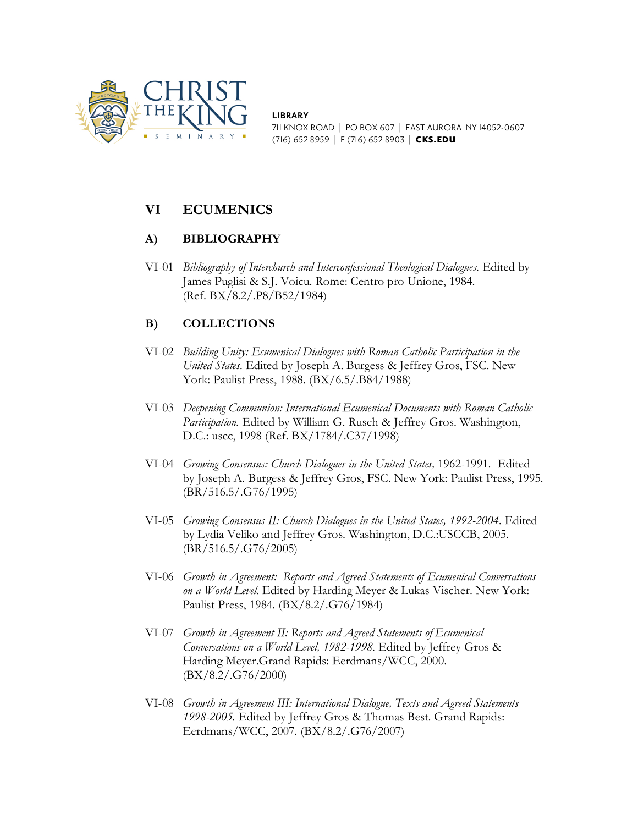

**LIBRARY** 711 KNOX ROAD | PO BOX 607 | EAST AURORA NY 14052-0607 (716) 652 8959 | F (716) 652 8903 | CKS.EDU

# **VI ECUMENICS**

### **A) BIBLIOGRAPHY**

VI-01 *Bibliography of Interchurch and Interconfessional Theological Dialogues.* Edited by James Puglisi & S.J. Voicu. Rome: Centro pro Unione, 1984. (Ref. BX/8.2/.P8/B52/1984)

## **B) COLLECTIONS**

- VI-02 *Building Unity: Ecumenical Dialogues with Roman Catholic Participation in the United States.* Edited by Joseph A. Burgess & Jeffrey Gros, FSC. New York: Paulist Press, 1988. (BX/6.5/.B84/1988)
- VI-03 *Deepening Communion: International Ecumenical Documents with Roman Catholic Participation.* Edited by William G. Rusch & Jeffrey Gros. Washington, D.C.: uscc, 1998 (Ref. BX/1784/.C37/1998)
- VI-04 *Growing Consensus: Church Dialogues in the United States,* 1962-1991. Edited by Joseph A. Burgess & Jeffrey Gros, FSC. New York: Paulist Press, 1995. (BR/516.5/.G76/1995)
- VI-05 *Growing Consensus II: Church Dialogues in the United States, 1992-2004*. Edited by Lydia Veliko and Jeffrey Gros. Washington, D.C.:USCCB, 2005. (BR/516.5/.G76/2005)
- VI-06 *Growth in Agreement: Reports and Agreed Statements of Ecumenical Conversations on a World Level.* Edited by Harding Meyer & Lukas Vischer. New York: Paulist Press, 1984. (BX/8.2/.G76/1984)
- VI-07 *Growth in Agreement II: Reports and Agreed Statements of Ecumenical Conversations on a World Level, 1982-1998.* Edited by Jeffrey Gros & Harding Meyer.Grand Rapids: Eerdmans/WCC, 2000. (BX/8.2/.G76/2000)
- VI-08 *Growth in Agreement III: International Dialogue, Texts and Agreed Statements 1998-2005.* Edited by Jeffrey Gros & Thomas Best. Grand Rapids: Eerdmans/WCC, 2007. (BX/8.2/.G76/2007)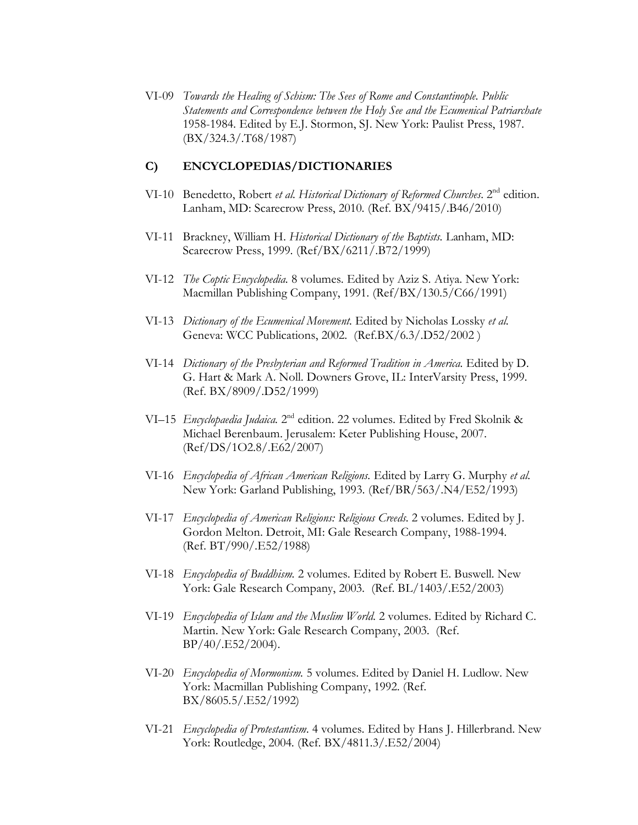VI-09 *Towards the Healing of Schism: The Sees of Rome and Constantinople. Public Statements and Correspondence between the Holy See and the Ecumenical Patriarchate*  1958-1984. Edited by E.J. Stormon, SJ. New York: Paulist Press, 1987. (BX/324.3/.T68/1987)

#### **C) ENCYCLOPEDIAS/DICTIONARIES**

- VI-10 Benedetto, Robert *et al. Historical Dictionary of Reformed Churches*. 2<sup>nd</sup> edition. Lanham, MD: Scarecrow Press, 2010. (Ref. BX/9415/.B46/2010)
- VI-11 Brackney, William H. *Historical Dictionary of the Baptists.* Lanham, MD: Scarecrow Press, 1999. (Ref/BX/6211/.B72/1999)
- VI-12 *The Coptic Encyclopedia.* 8 volumes. Edited by Aziz S. Atiya. New York: Macmillan Publishing Company, 1991. (Ref/BX/130.5/C66/1991)
- VI-13 *Dictionary of the Ecumenical Movement.* Edited by Nicholas Lossky *et al.*  Geneva: WCC Publications, 2002. (Ref.BX/6.3/.D52/2002 )
- VI-14 *Dictionary of the Presbyterian and Reformed Tradition in America.* Edited by D. G. Hart & Mark A. Noll. Downers Grove, IL: InterVarsity Press, 1999. (Ref. BX/8909/.D52/1999)
- VI–15 *Encyclopaedia Judaica.* 2nd edition. 22 volumes. Edited by Fred Skolnik & Michael Berenbaum. Jerusalem: Keter Publishing House, 2007. (Ref/DS/1O2.8/.E62/2007)
- VI-16 *Encyclopedia of African American Religions.* Edited by Larry G. Murphy *et al.*  New York: Garland Publishing, 1993. (Ref/BR/563/.N4/E52/1993)
- VI-17 *Encyclopedia of American Religions: Religious Creeds.* 2 volumes. Edited by J. Gordon Melton. Detroit, MI: Gale Research Company, 1988-1994. (Ref. BT/990/.E52/1988)
- VI-18 *Encyclopedia of Buddhism.* 2 volumes. Edited by Robert E. Buswell. New York: Gale Research Company, 2003. (Ref. BL/1403/.E52/2003)
- VI-19 *Encyclopedia of Islam and the Muslim World*. 2 volumes. Edited by Richard C. Martin. New York: Gale Research Company, 2003. (Ref. BP/40/.E52/2004).
- VI-20 *Encyclopedia of Mormonism.* 5 volumes. Edited by Daniel H. Ludlow. New York: Macmillan Publishing Company, 1992. (Ref. BX/8605.5/.E52/1992)
- VI-21 *Encyclopedia of Protestantism*. 4 volumes. Edited by Hans J. Hillerbrand. New York: Routledge, 2004. (Ref. BX/4811.3/.E52/2004)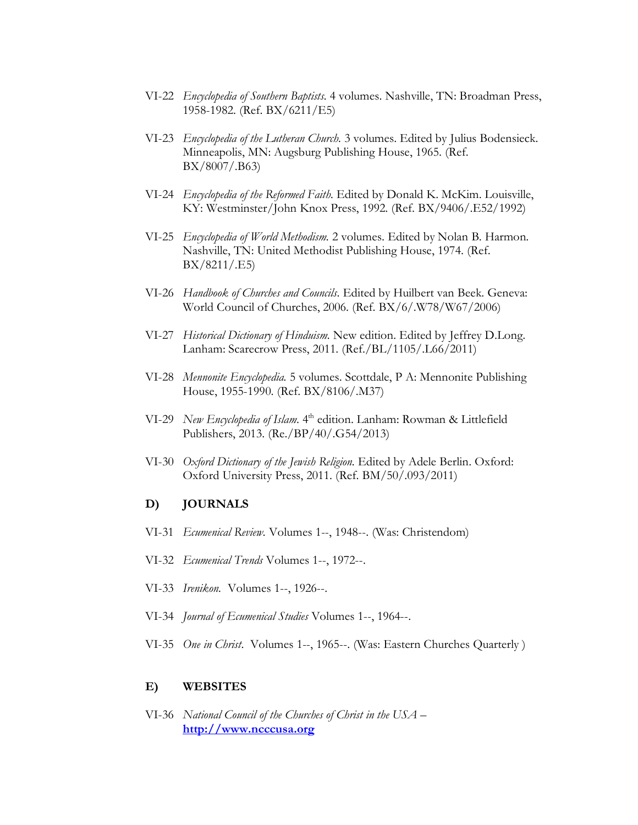- VI-22 *Encyclopedia of Southern Baptists.* 4 volumes. Nashville, TN: Broadman Press, 1958-1982. (Ref. BX/6211/E5)
- VI-23 *Encyclopedia of the Lutheran Church.* 3 volumes. Edited by Julius Bodensieck. Minneapolis, MN: Augsburg Publishing House, 1965. (Ref. BX/8007/.B63)
- VI-24 *Encyclopedia of the Reformed Faith.* Edited by Donald K. McKim. Louisville, KY: Westminster/John Knox Press, 1992. (Ref. BX/9406/.E52/1992)
- VI-25 *Encyclopedia of World Methodism.* 2 volumes. Edited by Nolan B. Harmon. Nashville, TN: United Methodist Publishing House, 1974. (Ref. BX/8211/.E5)
- VI-26 *Handbook of Churches and Councils*. Edited by Huilbert van Beek. Geneva: World Council of Churches, 2006. (Ref. BX/6/.W78/W67/2006)
- VI-27 *Historical Dictionary of Hinduism.* New edition. Edited by Jeffrey D.Long. Lanham: Scarecrow Press, 2011. (Ref./BL/1105/.L66/2011)
- VI-28 *Mennonite Encyclopedia.* 5 volumes. Scottdale, P A: Mennonite Publishing House, 1955-1990. (Ref. BX/8106/.M37)
- VI-29 *New Encyclopedia of Islam.* 4<sup>th</sup> edition. Lanham: Rowman & Littlefield Publishers, 2013. (Re./BP/40/.G54/2013)
- VI-30 *Oxford Dictionary of the Jewish Religion.* Edited by Adele Berlin. Oxford: Oxford University Press, 2011. (Ref. BM/50/.093/2011)

#### **D) JOURNALS**

- VI-31 *Ecumenical Review.* Volumes 1--, 1948--. (Was: Christendom)
- VI-32 *Ecumenical Trends* Volumes 1--, 1972--.
- VI-33 *Irenikon.* Volumes 1--, 1926--.
- VI-34 *Journal of Ecumenical Studies* Volumes 1--, 1964--.
- VI-35 *One in Christ*. Volumes 1--, 1965--. (Was: Eastern Churches Quarterly )

#### **E) WEBSITES**

VI-36 *National Council of the Churches of Christ in the USA –* **[http://www.ncccusa.org](http://www.ncccusa.org/)**